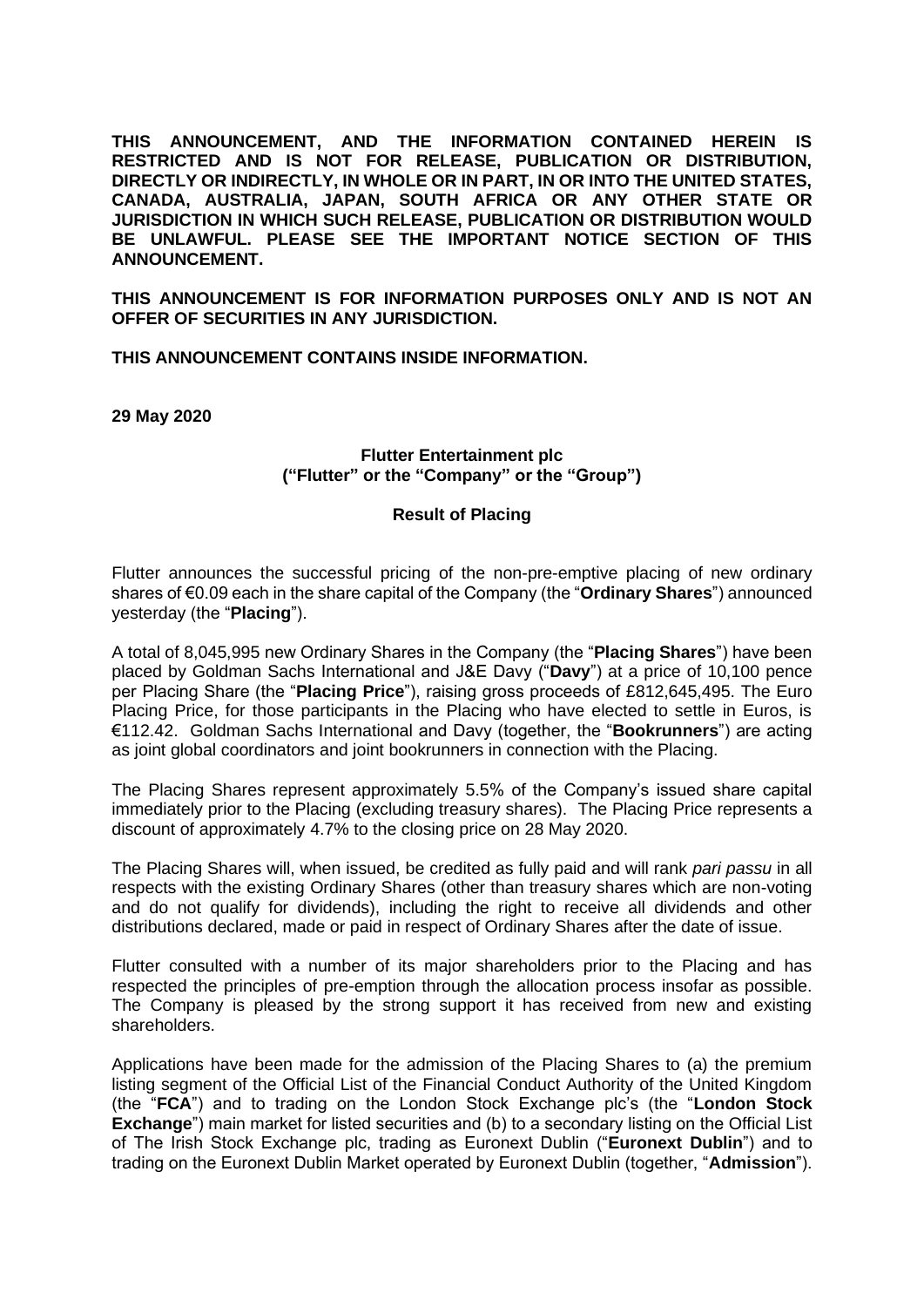**THIS ANNOUNCEMENT, AND THE INFORMATION CONTAINED HEREIN IS RESTRICTED AND IS NOT FOR RELEASE, PUBLICATION OR DISTRIBUTION, DIRECTLY OR INDIRECTLY, IN WHOLE OR IN PART, IN OR INTO THE UNITED STATES, CANADA, AUSTRALIA, JAPAN, SOUTH AFRICA OR ANY OTHER STATE OR JURISDICTION IN WHICH SUCH RELEASE, PUBLICATION OR DISTRIBUTION WOULD BE UNLAWFUL. PLEASE SEE THE IMPORTANT NOTICE SECTION OF THIS ANNOUNCEMENT.**

**THIS ANNOUNCEMENT IS FOR INFORMATION PURPOSES ONLY AND IS NOT AN OFFER OF SECURITIES IN ANY JURISDICTION.**

**THIS ANNOUNCEMENT CONTAINS INSIDE INFORMATION.**

**29 May 2020**

## **Flutter Entertainment plc ("Flutter" or the "Company" or the "Group")**

## **Result of Placing**

Flutter announces the successful pricing of the non-pre-emptive placing of new ordinary shares of €0.09 each in the share capital of the Company (the "**Ordinary Shares**") announced yesterday (the "**Placing**").

A total of 8,045,995 new Ordinary Shares in the Company (the "**Placing Shares**") have been placed by Goldman Sachs International and J&E Davy ("**Davy**") at a price of 10,100 pence per Placing Share (the "**Placing Price**"), raising gross proceeds of £812,645,495. The Euro Placing Price, for those participants in the Placing who have elected to settle in Euros, is €112.42. Goldman Sachs International and Davy (together, the "**Bookrunners**") are acting as joint global coordinators and joint bookrunners in connection with the Placing.

The Placing Shares represent approximately 5.5% of the Company's issued share capital immediately prior to the Placing (excluding treasury shares). The Placing Price represents a discount of approximately 4.7% to the closing price on 28 May 2020.

The Placing Shares will, when issued, be credited as fully paid and will rank *pari passu* in all respects with the existing Ordinary Shares (other than treasury shares which are non-voting and do not qualify for dividends), including the right to receive all dividends and other distributions declared, made or paid in respect of Ordinary Shares after the date of issue.

Flutter consulted with a number of its major shareholders prior to the Placing and has respected the principles of pre-emption through the allocation process insofar as possible. The Company is pleased by the strong support it has received from new and existing shareholders.

Applications have been made for the admission of the Placing Shares to (a) the premium listing segment of the Official List of the Financial Conduct Authority of the United Kingdom (the "**FCA**") and to trading on the London Stock Exchange plc's (the "**London Stock Exchange**") main market for listed securities and (b) to a secondary listing on the Official List of The Irish Stock Exchange plc, trading as Euronext Dublin ("**Euronext Dublin**") and to trading on the Euronext Dublin Market operated by Euronext Dublin (together, "**Admission**").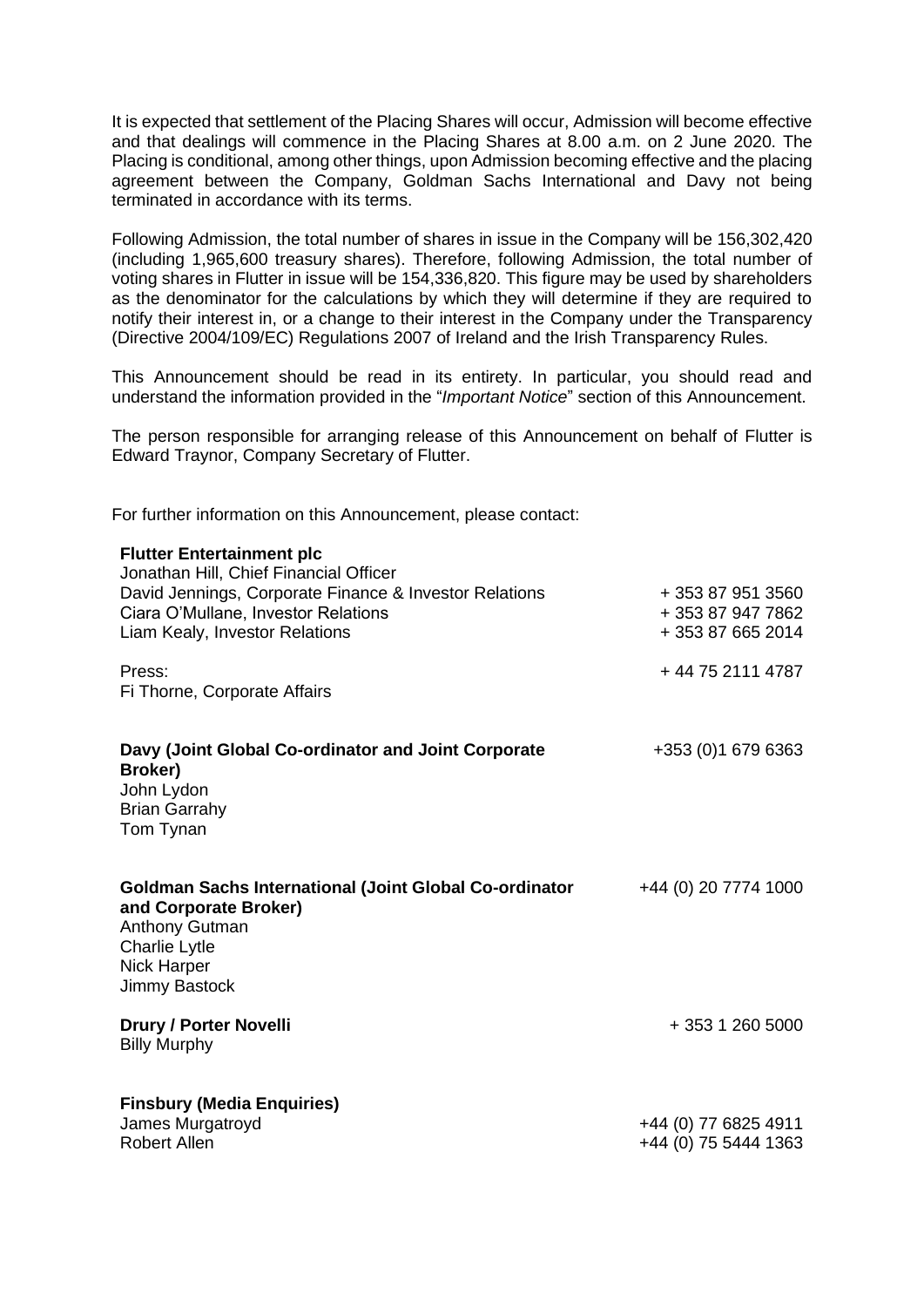It is expected that settlement of the Placing Shares will occur, Admission will become effective and that dealings will commence in the Placing Shares at 8.00 a.m. on 2 June 2020. The Placing is conditional, among other things, upon Admission becoming effective and the placing agreement between the Company, Goldman Sachs International and Davy not being terminated in accordance with its terms.

Following Admission, the total number of shares in issue in the Company will be 156,302,420 (including 1,965,600 treasury shares). Therefore, following Admission, the total number of voting shares in Flutter in issue will be 154,336,820. This figure may be used by shareholders as the denominator for the calculations by which they will determine if they are required to notify their interest in, or a change to their interest in the Company under the Transparency (Directive 2004/109/EC) Regulations 2007 of Ireland and the Irish Transparency Rules.

This Announcement should be read in its entirety. In particular, you should read and understand the information provided in the "*Important Notice*" section of this Announcement.

The person responsible for arranging release of this Announcement on behalf of Flutter is Edward Traynor, Company Secretary of Flutter.

For further information on this Announcement, please contact:

| <b>Flutter Entertainment plc</b><br>Jonathan Hill, Chief Financial Officer<br>David Jennings, Corporate Finance & Investor Relations<br>Ciara O'Mullane, Investor Relations<br>Liam Kealy, Investor Relations | + 353 87 951 3560<br>+ 353 87 947 7862<br>+353876652014 |
|---------------------------------------------------------------------------------------------------------------------------------------------------------------------------------------------------------------|---------------------------------------------------------|
| Press:<br>Fi Thorne, Corporate Affairs                                                                                                                                                                        | +44 75 2111 4787                                        |
| Davy (Joint Global Co-ordinator and Joint Corporate<br>Broker)<br>John Lydon<br><b>Brian Garrahy</b><br>Tom Tynan                                                                                             | +353 (0) 1 679 6363                                     |
| <b>Goldman Sachs International (Joint Global Co-ordinator</b><br>and Corporate Broker)<br><b>Anthony Gutman</b><br><b>Charlie Lytle</b><br><b>Nick Harper</b><br><b>Jimmy Bastock</b>                         | +44 (0) 20 7774 1000                                    |
| <b>Drury / Porter Novelli</b><br><b>Billy Murphy</b>                                                                                                                                                          | + 353 1 260 5000                                        |
| <b>Finsbury (Media Enquiries)</b><br>James Murgatroyd<br><b>Robert Allen</b>                                                                                                                                  | +44 (0) 77 6825 4911<br>+44 (0) 75 5444 1363            |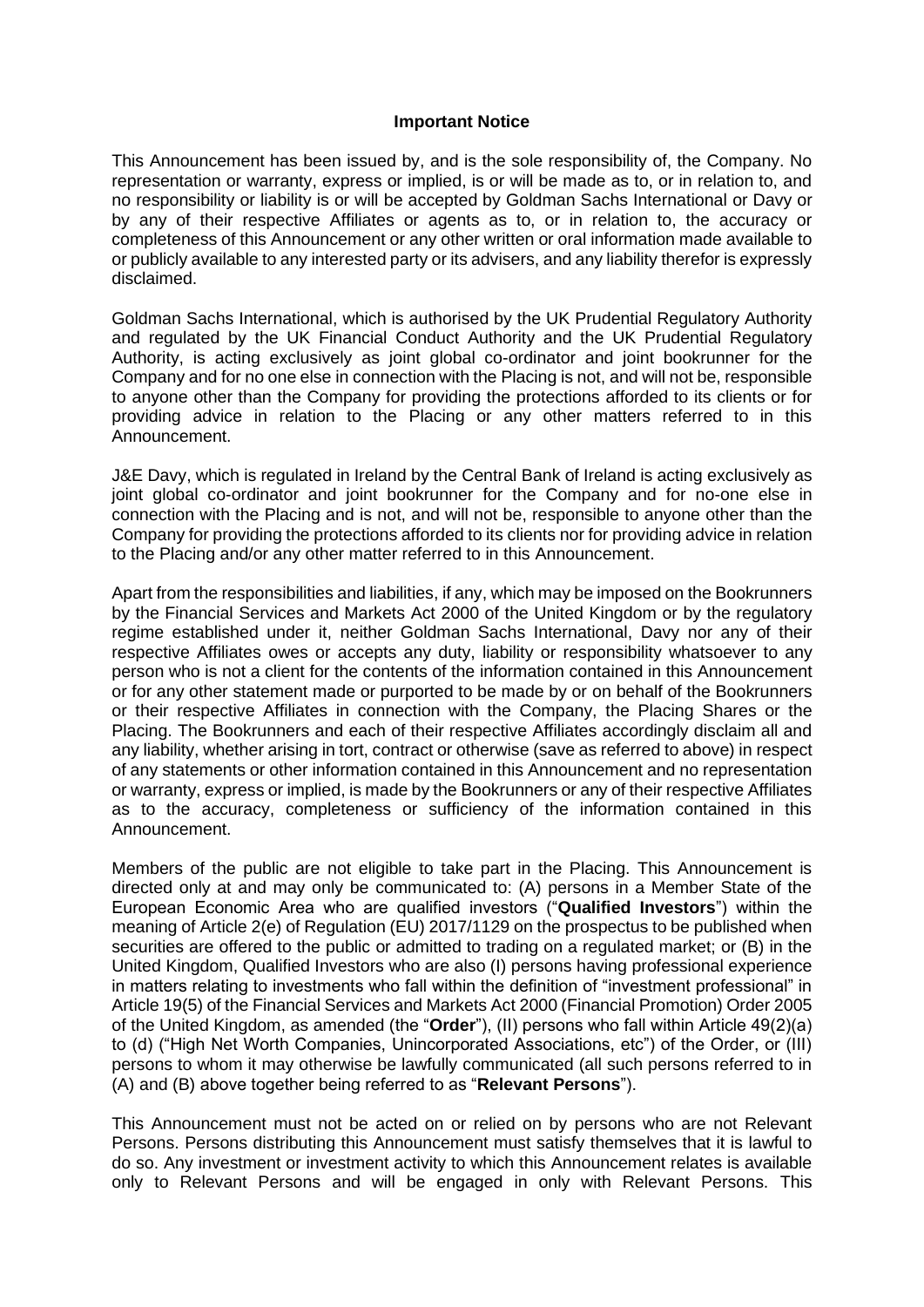## **Important Notice**

This Announcement has been issued by, and is the sole responsibility of, the Company. No representation or warranty, express or implied, is or will be made as to, or in relation to, and no responsibility or liability is or will be accepted by Goldman Sachs International or Davy or by any of their respective Affiliates or agents as to, or in relation to, the accuracy or completeness of this Announcement or any other written or oral information made available to or publicly available to any interested party or its advisers, and any liability therefor is expressly disclaimed.

Goldman Sachs International, which is authorised by the UK Prudential Regulatory Authority and regulated by the UK Financial Conduct Authority and the UK Prudential Regulatory Authority, is acting exclusively as joint global co-ordinator and joint bookrunner for the Company and for no one else in connection with the Placing is not, and will not be, responsible to anyone other than the Company for providing the protections afforded to its clients or for providing advice in relation to the Placing or any other matters referred to in this Announcement.

J&E Davy, which is regulated in Ireland by the Central Bank of Ireland is acting exclusively as joint global co-ordinator and joint bookrunner for the Company and for no-one else in connection with the Placing and is not, and will not be, responsible to anyone other than the Company for providing the protections afforded to its clients nor for providing advice in relation to the Placing and/or any other matter referred to in this Announcement.

Apart from the responsibilities and liabilities, if any, which may be imposed on the Bookrunners by the Financial Services and Markets Act 2000 of the United Kingdom or by the regulatory regime established under it, neither Goldman Sachs International, Davy nor any of their respective Affiliates owes or accepts any duty, liability or responsibility whatsoever to any person who is not a client for the contents of the information contained in this Announcement or for any other statement made or purported to be made by or on behalf of the Bookrunners or their respective Affiliates in connection with the Company, the Placing Shares or the Placing. The Bookrunners and each of their respective Affiliates accordingly disclaim all and any liability, whether arising in tort, contract or otherwise (save as referred to above) in respect of any statements or other information contained in this Announcement and no representation or warranty, express or implied, is made by the Bookrunners or any of their respective Affiliates as to the accuracy, completeness or sufficiency of the information contained in this Announcement.

Members of the public are not eligible to take part in the Placing. This Announcement is directed only at and may only be communicated to: (A) persons in a Member State of the European Economic Area who are qualified investors ("**Qualified Investors**") within the meaning of Article 2(e) of Regulation (EU) 2017/1129 on the prospectus to be published when securities are offered to the public or admitted to trading on a regulated market; or (B) in the United Kingdom, Qualified Investors who are also (I) persons having professional experience in matters relating to investments who fall within the definition of "investment professional" in Article 19(5) of the Financial Services and Markets Act 2000 (Financial Promotion) Order 2005 of the United Kingdom, as amended (the "**Order**"), (II) persons who fall within Article 49(2)(a) to (d) ("High Net Worth Companies, Unincorporated Associations, etc") of the Order, or (III) persons to whom it may otherwise be lawfully communicated (all such persons referred to in (A) and (B) above together being referred to as "**Relevant Persons**").

This Announcement must not be acted on or relied on by persons who are not Relevant Persons. Persons distributing this Announcement must satisfy themselves that it is lawful to do so. Any investment or investment activity to which this Announcement relates is available only to Relevant Persons and will be engaged in only with Relevant Persons. This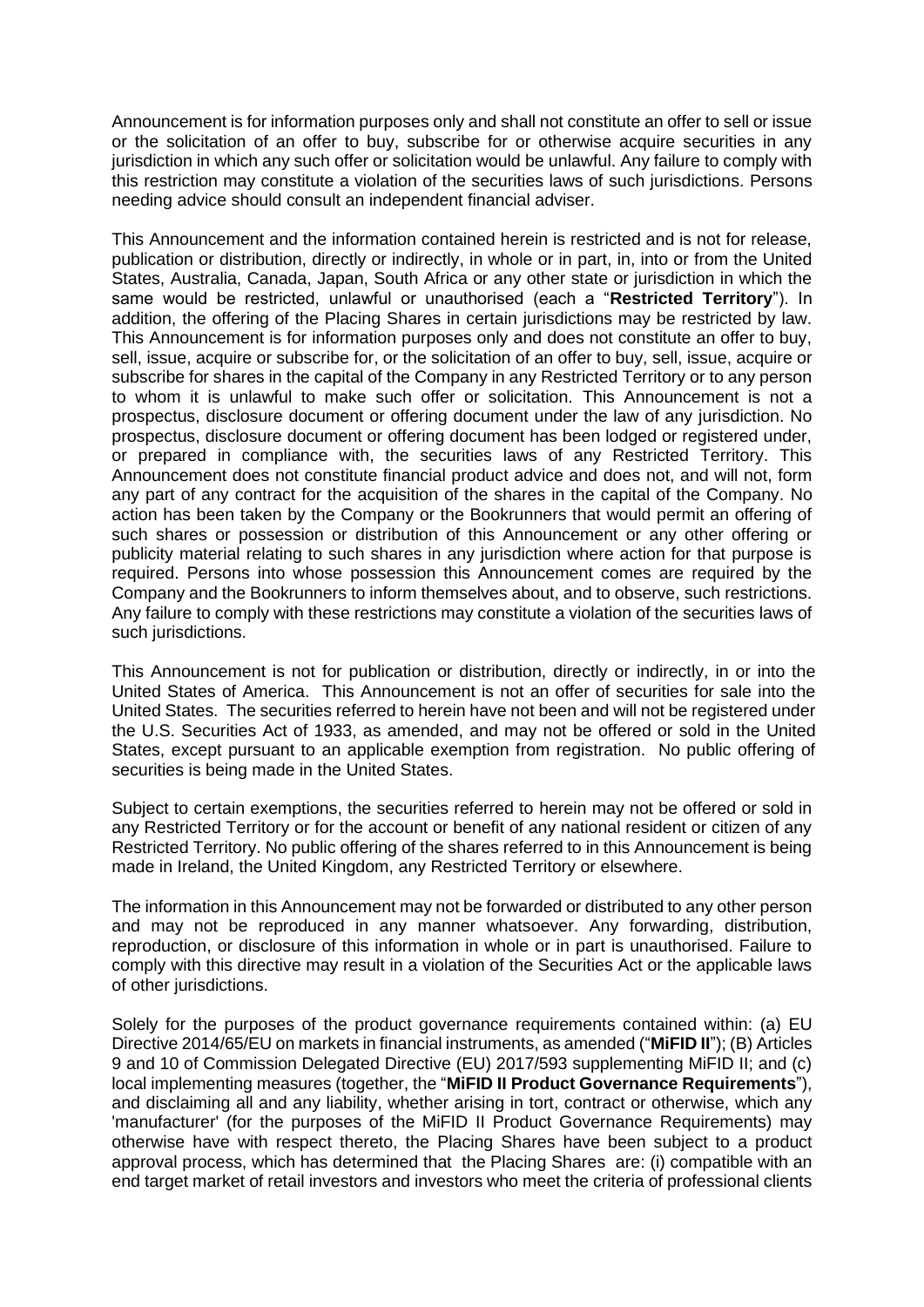Announcement is for information purposes only and shall not constitute an offer to sell or issue or the solicitation of an offer to buy, subscribe for or otherwise acquire securities in any jurisdiction in which any such offer or solicitation would be unlawful. Any failure to comply with this restriction may constitute a violation of the securities laws of such jurisdictions. Persons needing advice should consult an independent financial adviser.

This Announcement and the information contained herein is restricted and is not for release, publication or distribution, directly or indirectly, in whole or in part, in, into or from the United States, Australia, Canada, Japan, South Africa or any other state or jurisdiction in which the same would be restricted, unlawful or unauthorised (each a "**Restricted Territory**"). In addition, the offering of the Placing Shares in certain jurisdictions may be restricted by law. This Announcement is for information purposes only and does not constitute an offer to buy, sell, issue, acquire or subscribe for, or the solicitation of an offer to buy, sell, issue, acquire or subscribe for shares in the capital of the Company in any Restricted Territory or to any person to whom it is unlawful to make such offer or solicitation. This Announcement is not a prospectus, disclosure document or offering document under the law of any jurisdiction. No prospectus, disclosure document or offering document has been lodged or registered under, or prepared in compliance with, the securities laws of any Restricted Territory. This Announcement does not constitute financial product advice and does not, and will not, form any part of any contract for the acquisition of the shares in the capital of the Company. No action has been taken by the Company or the Bookrunners that would permit an offering of such shares or possession or distribution of this Announcement or any other offering or publicity material relating to such shares in any jurisdiction where action for that purpose is required. Persons into whose possession this Announcement comes are required by the Company and the Bookrunners to inform themselves about, and to observe, such restrictions. Any failure to comply with these restrictions may constitute a violation of the securities laws of such jurisdictions.

This Announcement is not for publication or distribution, directly or indirectly, in or into the United States of America. This Announcement is not an offer of securities for sale into the United States. The securities referred to herein have not been and will not be registered under the U.S. Securities Act of 1933, as amended, and may not be offered or sold in the United States, except pursuant to an applicable exemption from registration. No public offering of securities is being made in the United States.

Subject to certain exemptions, the securities referred to herein may not be offered or sold in any Restricted Territory or for the account or benefit of any national resident or citizen of any Restricted Territory. No public offering of the shares referred to in this Announcement is being made in Ireland, the United Kingdom, any Restricted Territory or elsewhere.

The information in this Announcement may not be forwarded or distributed to any other person and may not be reproduced in any manner whatsoever. Any forwarding, distribution, reproduction, or disclosure of this information in whole or in part is unauthorised. Failure to comply with this directive may result in a violation of the Securities Act or the applicable laws of other jurisdictions.

Solely for the purposes of the product governance requirements contained within: (a) EU Directive 2014/65/EU on markets in financial instruments, as amended ("**MiFID II**"); (B) Articles 9 and 10 of Commission Delegated Directive (EU) 2017/593 supplementing MiFID II; and (c) local implementing measures (together, the "**MiFID II Product Governance Requirements**"), and disclaiming all and any liability, whether arising in tort, contract or otherwise, which any 'manufacturer' (for the purposes of the MiFID II Product Governance Requirements) may otherwise have with respect thereto, the Placing Shares have been subject to a product approval process, which has determined that the Placing Shares are: (i) compatible with an end target market of retail investors and investors who meet the criteria of professional clients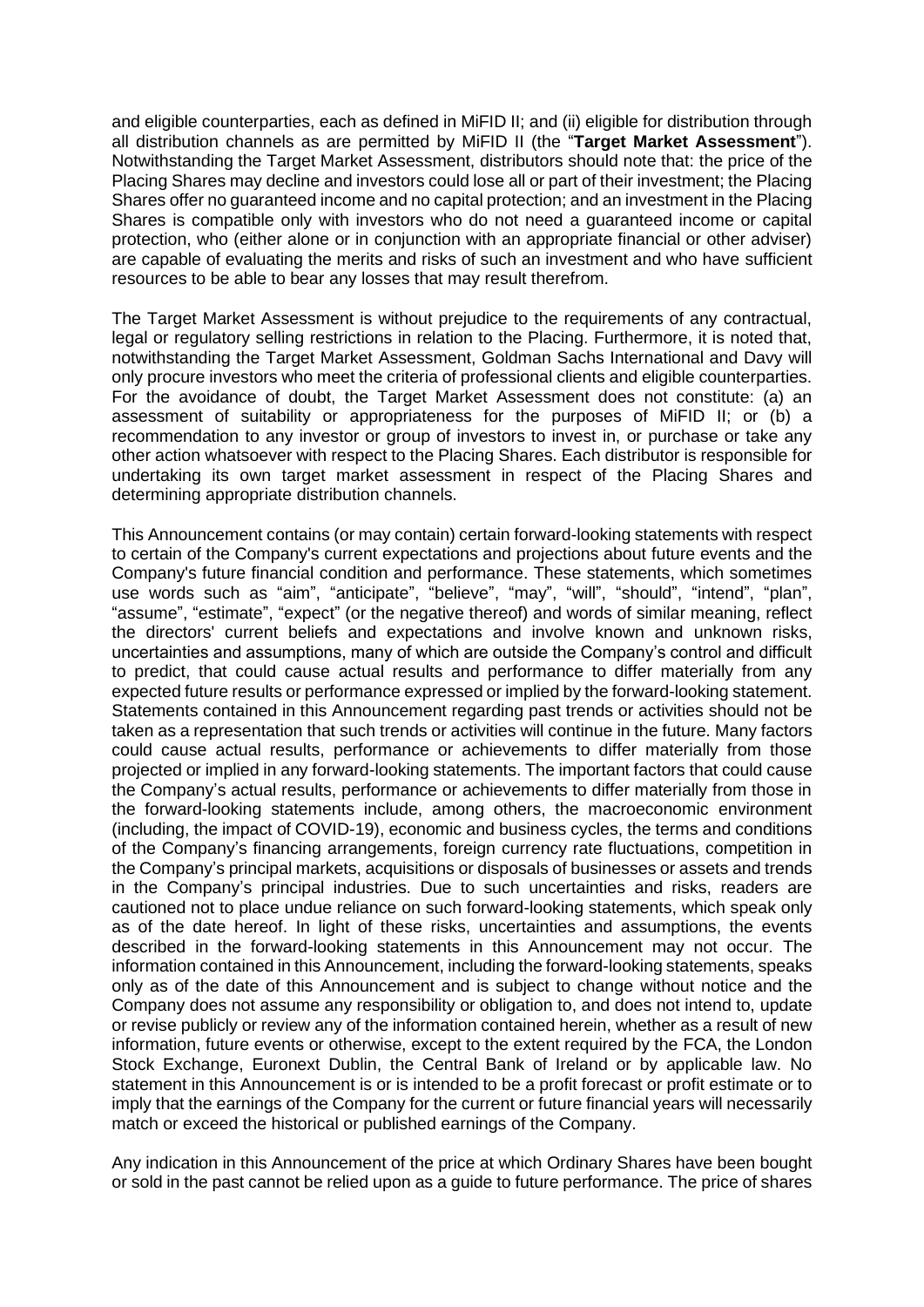and eligible counterparties, each as defined in MiFID II; and (ii) eligible for distribution through all distribution channels as are permitted by MiFID II (the "**Target Market Assessment**"). Notwithstanding the Target Market Assessment, distributors should note that: the price of the Placing Shares may decline and investors could lose all or part of their investment; the Placing Shares offer no guaranteed income and no capital protection; and an investment in the Placing Shares is compatible only with investors who do not need a guaranteed income or capital protection, who (either alone or in conjunction with an appropriate financial or other adviser) are capable of evaluating the merits and risks of such an investment and who have sufficient resources to be able to bear any losses that may result therefrom.

The Target Market Assessment is without prejudice to the requirements of any contractual, legal or regulatory selling restrictions in relation to the Placing. Furthermore, it is noted that, notwithstanding the Target Market Assessment, Goldman Sachs International and Davy will only procure investors who meet the criteria of professional clients and eligible counterparties. For the avoidance of doubt, the Target Market Assessment does not constitute: (a) an assessment of suitability or appropriateness for the purposes of MiFID II; or (b) a recommendation to any investor or group of investors to invest in, or purchase or take any other action whatsoever with respect to the Placing Shares. Each distributor is responsible for undertaking its own target market assessment in respect of the Placing Shares and determining appropriate distribution channels.

This Announcement contains (or may contain) certain forward-looking statements with respect to certain of the Company's current expectations and projections about future events and the Company's future financial condition and performance. These statements, which sometimes use words such as "aim", "anticipate", "believe", "may", "will", "should", "intend", "plan", "assume", "estimate", "expect" (or the negative thereof) and words of similar meaning, reflect the directors' current beliefs and expectations and involve known and unknown risks, uncertainties and assumptions, many of which are outside the Company's control and difficult to predict, that could cause actual results and performance to differ materially from any expected future results or performance expressed or implied by the forward-looking statement. Statements contained in this Announcement regarding past trends or activities should not be taken as a representation that such trends or activities will continue in the future. Many factors could cause actual results, performance or achievements to differ materially from those projected or implied in any forward-looking statements. The important factors that could cause the Company's actual results, performance or achievements to differ materially from those in the forward-looking statements include, among others, the macroeconomic environment (including, the impact of COVID-19), economic and business cycles, the terms and conditions of the Company's financing arrangements, foreign currency rate fluctuations, competition in the Company's principal markets, acquisitions or disposals of businesses or assets and trends in the Company's principal industries. Due to such uncertainties and risks, readers are cautioned not to place undue reliance on such forward-looking statements, which speak only as of the date hereof. In light of these risks, uncertainties and assumptions, the events described in the forward-looking statements in this Announcement may not occur. The information contained in this Announcement, including the forward-looking statements, speaks only as of the date of this Announcement and is subject to change without notice and the Company does not assume any responsibility or obligation to, and does not intend to, update or revise publicly or review any of the information contained herein, whether as a result of new information, future events or otherwise, except to the extent required by the FCA, the London Stock Exchange, Euronext Dublin, the Central Bank of Ireland or by applicable law. No statement in this Announcement is or is intended to be a profit forecast or profit estimate or to imply that the earnings of the Company for the current or future financial years will necessarily match or exceed the historical or published earnings of the Company.

Any indication in this Announcement of the price at which Ordinary Shares have been bought or sold in the past cannot be relied upon as a guide to future performance. The price of shares